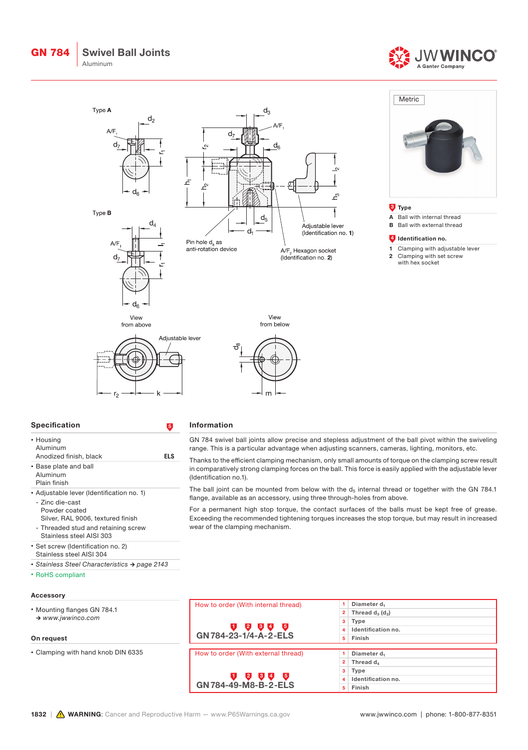







| Specification |  |
|---------------|--|
|               |  |

• Base plate and ball Aluminum Plain finish

- Zinc die-cast Powder coated

• RoHS compliant

Anodized finish, black ELS

• Adjustable lever (Identification no. 1)

Silver, RAL 9006, textured finish - Threaded stud and retaining screw Stainless steel AISI 303 • Set screw (Identification no. 2) Stainless steel AISI 304

*• Stainless Steel Characteristics → page 2143*

• Housing Aluminum

## Information

GN 784 swivel ball joints allow precise and stepless adjustment of the ball pivot within the swiveling range. This is a particular advantage when adjusting scanners, cameras, lighting, monitors, etc.

Thanks to the efficient clamping mechanism, only small amounts of torque on the clamping screw result in comparatively strong clamping forces on the ball. This force is easily applied with the adjustable lever (Identification no.1).

The ball joint can be mounted from below with the  $d_5$  internal thread or together with the GN 784.1 flange, available as an accessory, using three through-holes from above.

For a permanent high stop torque, the contact surfaces of the balls must be kept free of grease. Exceeding the recommended tightening torques increases the stop torque, but may result in increased wear of the clamping mechanism.

| Accessory                          |                                     |                          |
|------------------------------------|-------------------------------------|--------------------------|
|                                    | How to order (With internal thread) | Diameter d <sub>1</sub>  |
| • Mounting flanges GN 784.1        |                                     | 2 Thread $d_3$ ( $d_2$ ) |
| $\rightarrow$ www.jwwinco.com      |                                     | $3$ Type                 |
|                                    | <b>234 P</b><br>υ                   | 4 Identification no.     |
| On request                         | GN 784-23-1/4-A-2-ELS               | 5 Finish                 |
|                                    |                                     |                          |
| • Clamping with hand knob DIN 6335 | How to order (With external thread) | Diameter d <sub>1</sub>  |
|                                    |                                     | 2 Thread $d_A$           |
|                                    |                                     | 3 Type                   |
|                                    | <b>2000</b>                         | 4 Identification no.     |
|                                    | GN 784-49-M8-B-2-ELS                | 5 Finish                 |